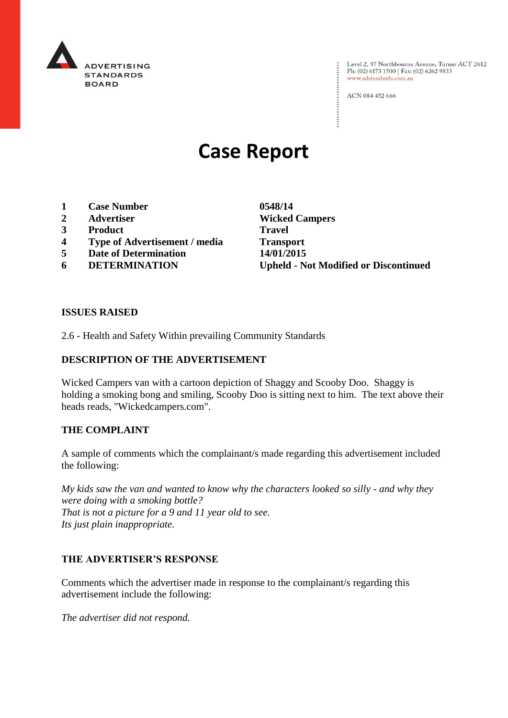

: Level 2, 97 Northbourne Avenue, Turner ACT 2612<br>: Ph: (02) 6173 1500 | Fax: (02) 6262 9833 Ph: (02) 6173 1500 | Fax: (02) 6262 9833 www.adstandards.com.au

ACN 084 452 666

# **Case Report**

- **1 Case Number 0548/14**
- **2 Advertiser Wicked Campers**
- **3 Product Travel**
- **4 Type of Advertisement / media Transport**
- **5 Date of Determination 14/01/2015**
- 

**6 DETERMINATION Upheld - Not Modified or Discontinued**

 $\vdots$ 

## **ISSUES RAISED**

2.6 - Health and Safety Within prevailing Community Standards

## **DESCRIPTION OF THE ADVERTISEMENT**

Wicked Campers van with a cartoon depiction of Shaggy and Scooby Doo. Shaggy is holding a smoking bong and smiling, Scooby Doo is sitting next to him. The text above their heads reads, "Wickedcampers.com".

#### **THE COMPLAINT**

A sample of comments which the complainant/s made regarding this advertisement included the following:

*My kids saw the van and wanted to know why the characters looked so silly - and why they were doing with a smoking bottle? That is not a picture for a 9 and 11 year old to see. Its just plain inappropriate.*

## **THE ADVERTISER'S RESPONSE**

Comments which the advertiser made in response to the complainant/s regarding this advertisement include the following:

*The advertiser did not respond.*